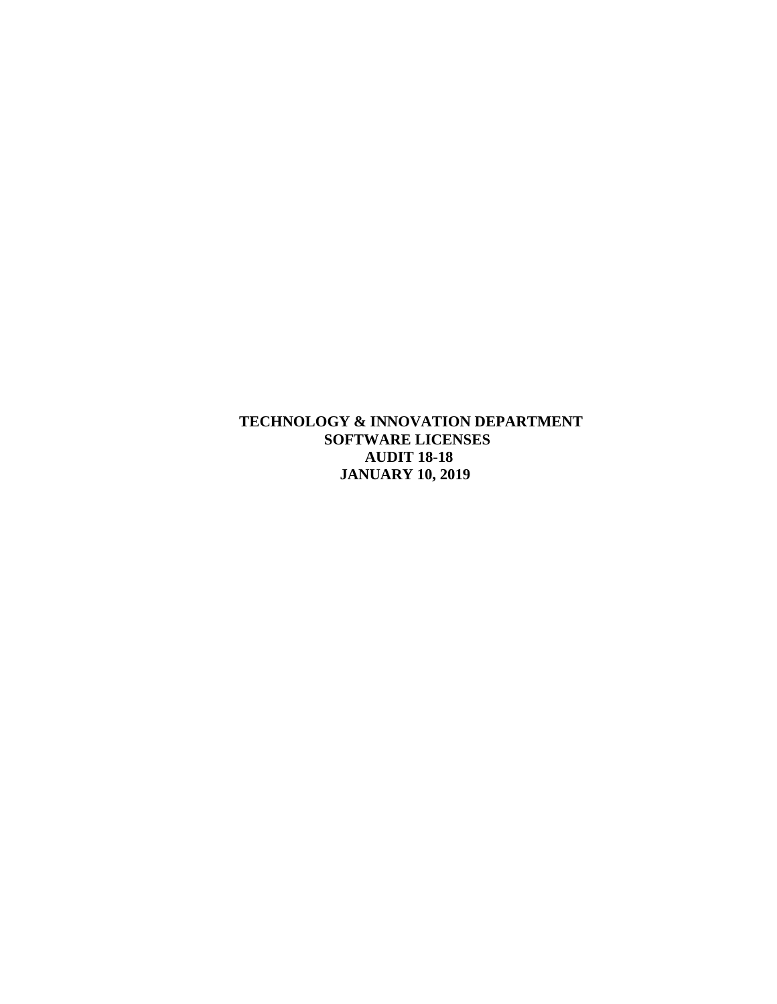**TECHNOLOGY & INNOVATION DEPARTMENT SOFTWARE LICENSES AUDIT 18-18 JANUARY 10, 2019**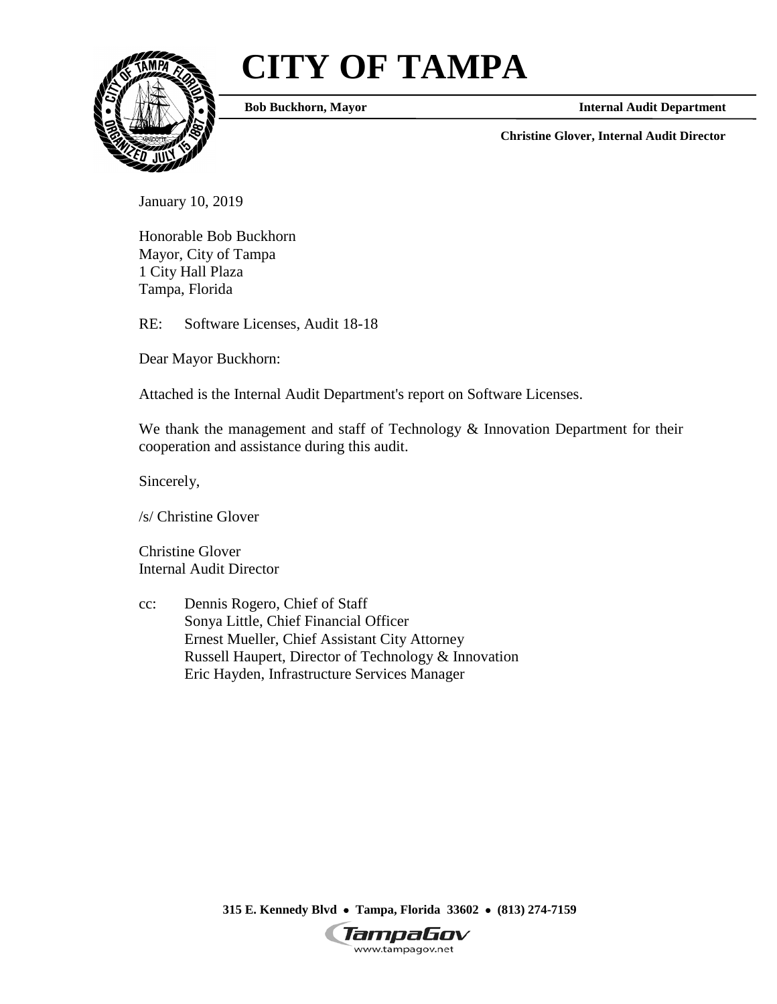# **CITY OF TAMPA**



**Bob Buckhorn, Mayor**

**Internal Audit Department**

**Christine Glover, Internal Audit Director**

January 10, 2019

Honorable Bob Buckhorn Mayor, City of Tampa 1 City Hall Plaza Tampa, Florida

RE: Software Licenses, Audit 18-18

Dear Mayor Buckhorn:

Attached is the Internal Audit Department's report on Software Licenses.

We thank the management and staff of Technology & Innovation Department for their cooperation and assistance during this audit.

Sincerely,

/s/ Christine Glover

Christine Glover Internal Audit Director

cc: Dennis Rogero, Chief of Staff Sonya Little, Chief Financial Officer Ernest Mueller, Chief Assistant City Attorney Russell Haupert, Director of Technology & Innovation Eric Hayden, Infrastructure Services Manager

**315 E. Kennedy Blvd** • **Tampa, Florida 33602** • **(813) 274-7159**

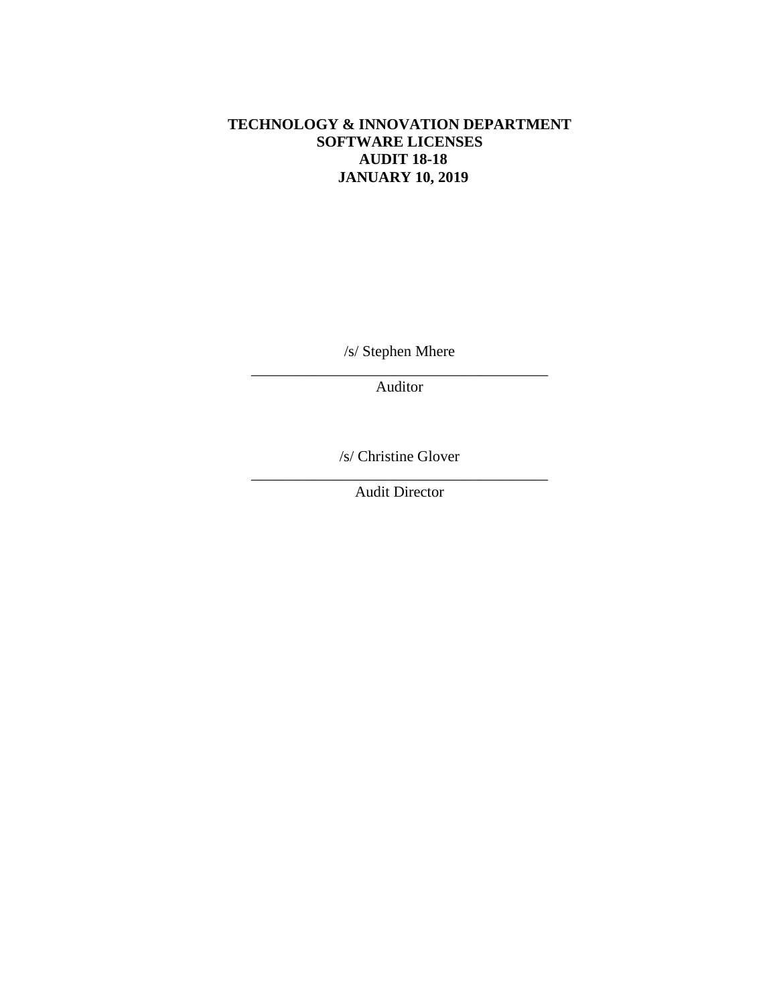# **TECHNOLOGY & INNOVATION DEPARTMENT SOFTWARE LICENSES AUDIT 18-18 JANUARY 10, 2019**

/s/ Stephen Mhere

\_\_\_\_\_\_\_\_\_\_\_\_\_\_\_\_\_\_\_\_\_\_\_\_\_\_\_\_\_\_\_\_\_\_\_\_\_\_\_ Auditor

/s/ Christine Glover

\_\_\_\_\_\_\_\_\_\_\_\_\_\_\_\_\_\_\_\_\_\_\_\_\_\_\_\_\_\_\_\_\_\_\_\_\_\_\_ Audit Director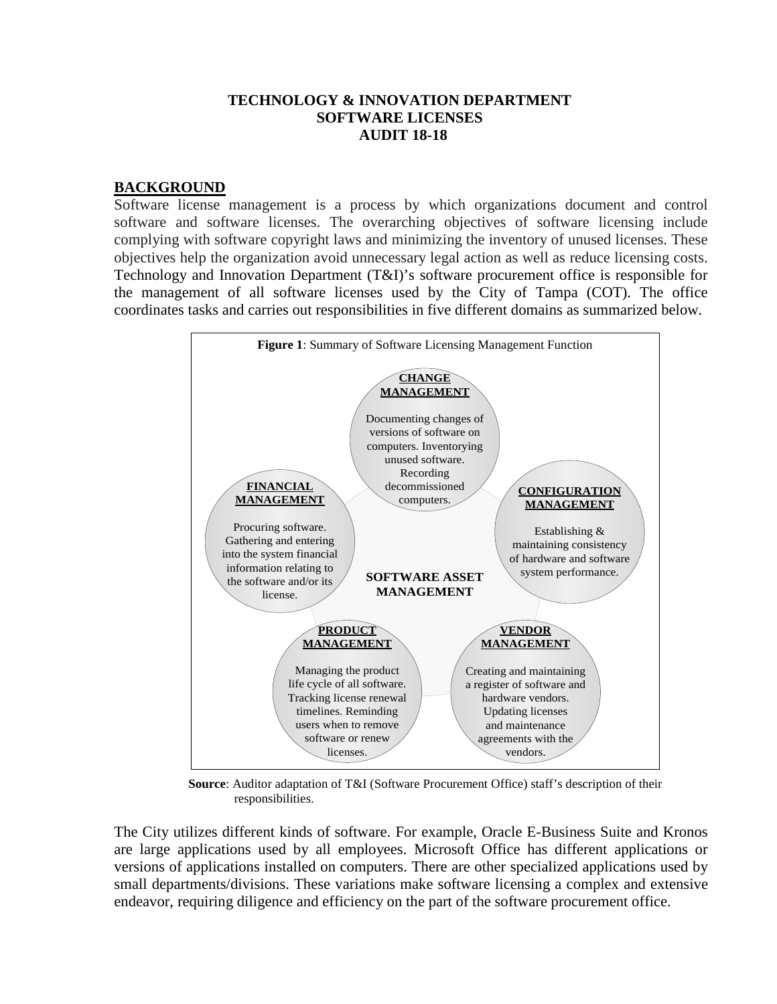#### **TECHNOLOGY & INNOVATION DEPARTMENT SOFTWARE LICENSES AUDIT 18-18**

### **BACKGROUND**

Software license management is a process by which organizations document and control software and software licenses. The overarching objectives of software licensing include complying with software copyright laws and minimizing the inventory of unused licenses. These objectives help the organization avoid unnecessary legal action as well as reduce licensing costs. Technology and Innovation Department (T&I)'s software procurement office is responsible for the management of all software licenses used by the City of Tampa (COT). The office coordinates tasks and carries out responsibilities in five different domains as summarized below.



**Source**: Auditor adaptation of T&I (Software Procurement Office) staff's description of their responsibilities.

The City utilizes different kinds of software. For example, Oracle E-Business Suite and Kronos are large applications used by all employees. Microsoft Office has different applications or versions of applications installed on computers. There are other specialized applications used by small departments/divisions. These variations make software licensing a complex and extensive endeavor, requiring diligence and efficiency on the part of the software procurement office.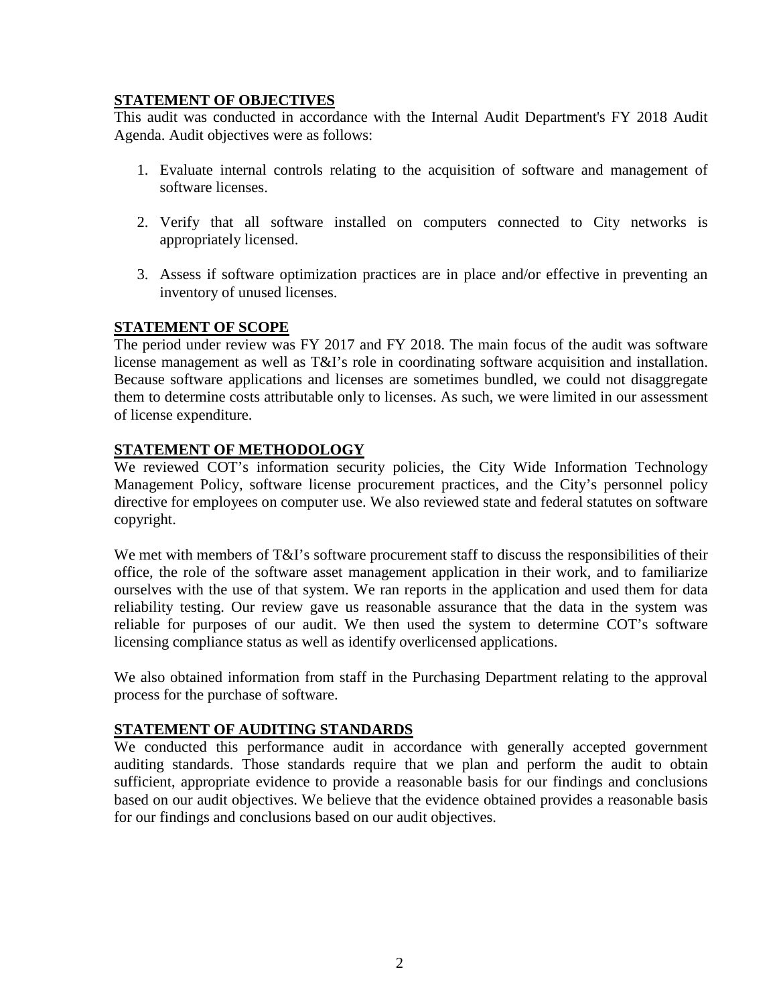# **STATEMENT OF OBJECTIVES**

This audit was conducted in accordance with the Internal Audit Department's FY 2018 Audit Agenda. Audit objectives were as follows:

- 1. Evaluate internal controls relating to the acquisition of software and management of software licenses.
- 2. Verify that all software installed on computers connected to City networks is appropriately licensed.
- 3. Assess if software optimization practices are in place and/or effective in preventing an inventory of unused licenses.

# **STATEMENT OF SCOPE**

The period under review was FY 2017 and FY 2018. The main focus of the audit was software license management as well as T&I's role in coordinating software acquisition and installation. Because software applications and licenses are sometimes bundled, we could not disaggregate them to determine costs attributable only to licenses. As such, we were limited in our assessment of license expenditure.

# **STATEMENT OF METHODOLOGY**

We reviewed COT's information security policies, the City Wide Information Technology Management Policy, software license procurement practices, and the City's personnel policy directive for employees on computer use. We also reviewed state and federal statutes on software copyright.

We met with members of T&I's software procurement staff to discuss the responsibilities of their office, the role of the software asset management application in their work, and to familiarize ourselves with the use of that system. We ran reports in the application and used them for data reliability testing. Our review gave us reasonable assurance that the data in the system was reliable for purposes of our audit. We then used the system to determine COT's software licensing compliance status as well as identify overlicensed applications.

We also obtained information from staff in the Purchasing Department relating to the approval process for the purchase of software.

# **STATEMENT OF AUDITING STANDARDS**

We conducted this performance audit in accordance with generally accepted government auditing standards. Those standards require that we plan and perform the audit to obtain sufficient, appropriate evidence to provide a reasonable basis for our findings and conclusions based on our audit objectives. We believe that the evidence obtained provides a reasonable basis for our findings and conclusions based on our audit objectives.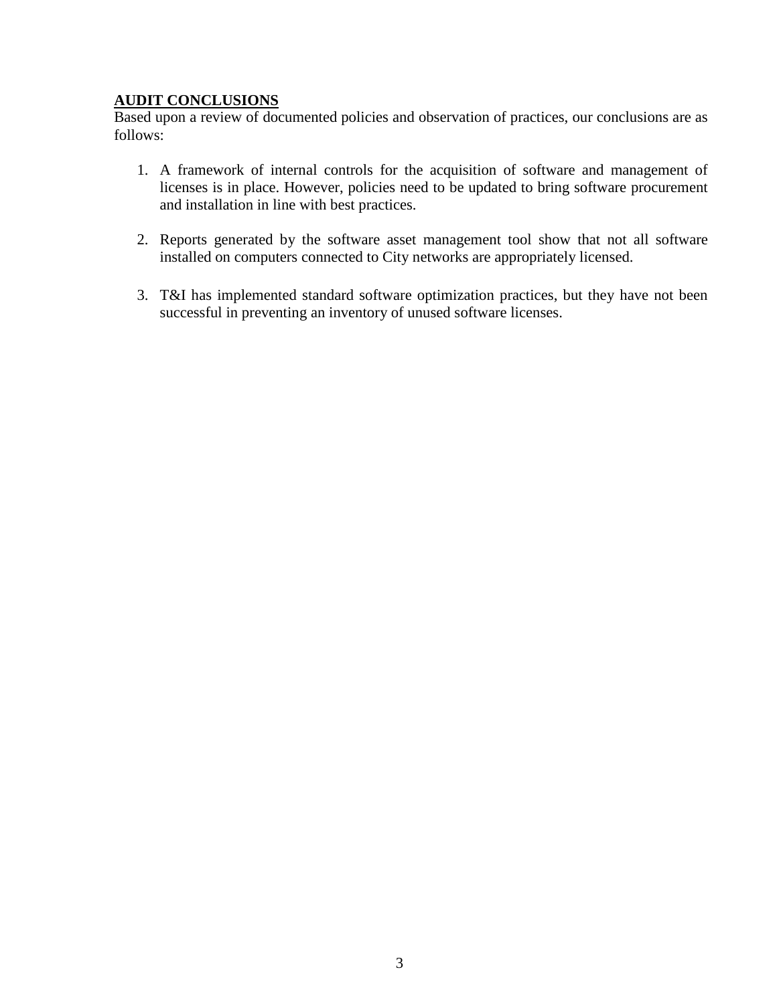# **AUDIT CONCLUSIONS**

Based upon a review of documented policies and observation of practices, our conclusions are as follows:

- 1. A framework of internal controls for the acquisition of software and management of licenses is in place. However, policies need to be updated to bring software procurement and installation in line with best practices.
- 2. Reports generated by the software asset management tool show that not all software installed on computers connected to City networks are appropriately licensed.
- 3. T&I has implemented standard software optimization practices, but they have not been successful in preventing an inventory of unused software licenses.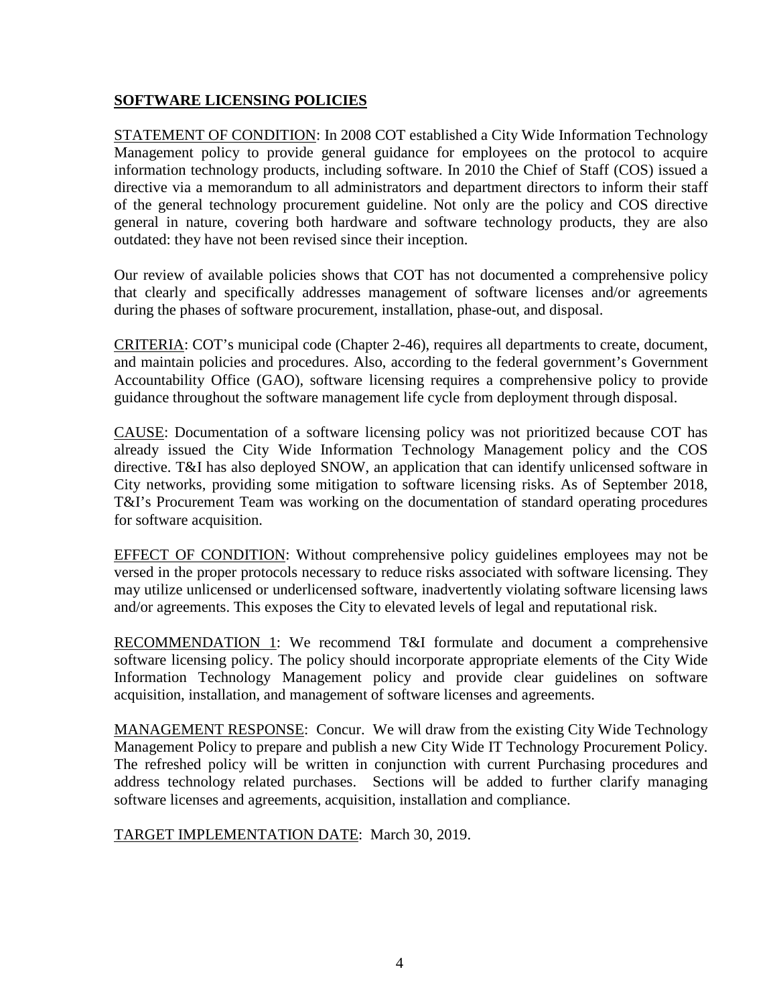# **SOFTWARE LICENSING POLICIES**

STATEMENT OF CONDITION: In 2008 COT established a City Wide Information Technology Management policy to provide general guidance for employees on the protocol to acquire information technology products, including software. In 2010 the Chief of Staff (COS) issued a directive via a memorandum to all administrators and department directors to inform their staff of the general technology procurement guideline. Not only are the policy and COS directive general in nature, covering both hardware and software technology products, they are also outdated: they have not been revised since their inception.

Our review of available policies shows that COT has not documented a comprehensive policy that clearly and specifically addresses management of software licenses and/or agreements during the phases of software procurement, installation, phase-out, and disposal.

CRITERIA: COT's municipal code (Chapter 2-46), requires all departments to create, document, and maintain policies and procedures. Also, according to the federal government's Government Accountability Office (GAO), software licensing requires a comprehensive policy to provide guidance throughout the software management life cycle from deployment through disposal.

CAUSE: Documentation of a software licensing policy was not prioritized because COT has already issued the City Wide Information Technology Management policy and the COS directive. T&I has also deployed SNOW, an application that can identify unlicensed software in City networks, providing some mitigation to software licensing risks. As of September 2018, T&I's Procurement Team was working on the documentation of standard operating procedures for software acquisition.

EFFECT OF CONDITION: Without comprehensive policy guidelines employees may not be versed in the proper protocols necessary to reduce risks associated with software licensing. They may utilize unlicensed or underlicensed software, inadvertently violating software licensing laws and/or agreements. This exposes the City to elevated levels of legal and reputational risk.

RECOMMENDATION 1: We recommend T&I formulate and document a comprehensive software licensing policy. The policy should incorporate appropriate elements of the City Wide Information Technology Management policy and provide clear guidelines on software acquisition, installation, and management of software licenses and agreements.

MANAGEMENT RESPONSE: Concur. We will draw from the existing City Wide Technology Management Policy to prepare and publish a new City Wide IT Technology Procurement Policy. The refreshed policy will be written in conjunction with current Purchasing procedures and address technology related purchases. Sections will be added to further clarify managing software licenses and agreements, acquisition, installation and compliance.

TARGET IMPLEMENTATION DATE: March 30, 2019.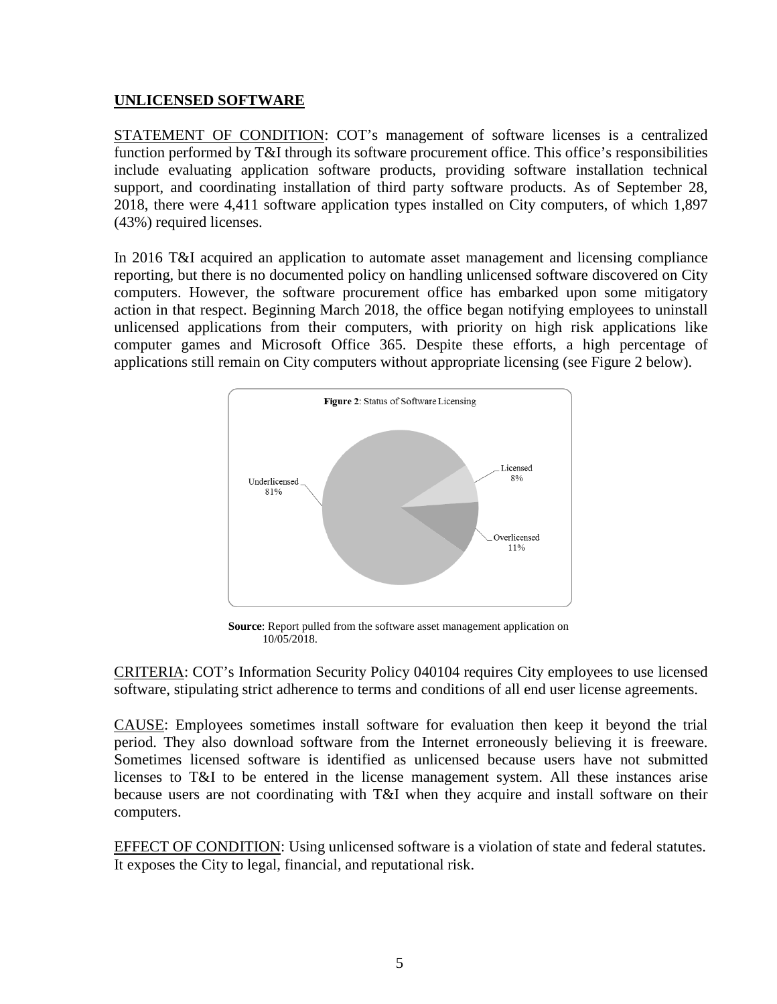### **UNLICENSED SOFTWARE**

STATEMENT OF CONDITION: COT's management of software licenses is a centralized function performed by T&I through its software procurement office. This office's responsibilities include evaluating application software products, providing software installation technical support, and coordinating installation of third party software products. As of September 28, 2018, there were 4,411 software application types installed on City computers, of which 1,897 (43%) required licenses.

In 2016 T&I acquired an application to automate asset management and licensing compliance reporting, but there is no documented policy on handling unlicensed software discovered on City computers. However, the software procurement office has embarked upon some mitigatory action in that respect. Beginning March 2018, the office began notifying employees to uninstall unlicensed applications from their computers, with priority on high risk applications like computer games and Microsoft Office 365. Despite these efforts, a high percentage of applications still remain on City computers without appropriate licensing (see Figure 2 below).



**Source**: Report pulled from the software asset management application on 10/05/2018.

CRITERIA: COT's Information Security Policy 040104 requires City employees to use licensed software, stipulating strict adherence to terms and conditions of all end user license agreements.

CAUSE: Employees sometimes install software for evaluation then keep it beyond the trial period. They also download software from the Internet erroneously believing it is freeware. Sometimes licensed software is identified as unlicensed because users have not submitted licenses to T&I to be entered in the license management system. All these instances arise because users are not coordinating with T&I when they acquire and install software on their computers.

EFFECT OF CONDITION: Using unlicensed software is a violation of state and federal statutes. It exposes the City to legal, financial, and reputational risk.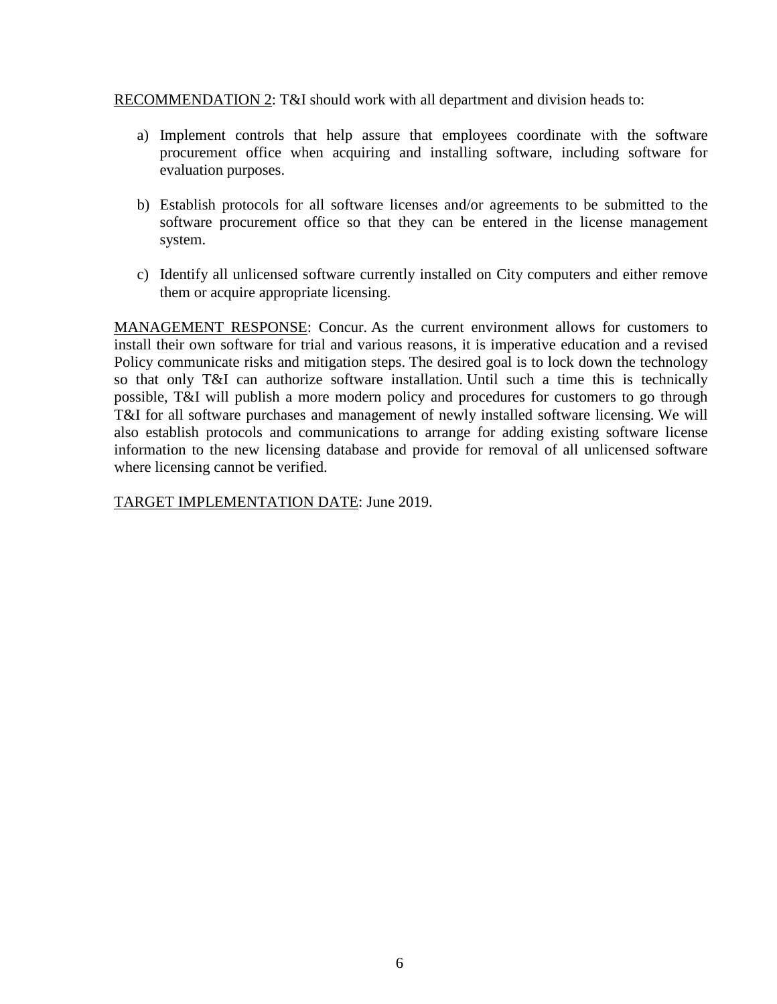RECOMMENDATION 2: T&I should work with all department and division heads to:

- a) Implement controls that help assure that employees coordinate with the software procurement office when acquiring and installing software, including software for evaluation purposes.
- b) Establish protocols for all software licenses and/or agreements to be submitted to the software procurement office so that they can be entered in the license management system.
- c) Identify all unlicensed software currently installed on City computers and either remove them or acquire appropriate licensing.

MANAGEMENT RESPONSE: Concur. As the current environment allows for customers to install their own software for trial and various reasons, it is imperative education and a revised Policy communicate risks and mitigation steps. The desired goal is to lock down the technology so that only T&I can authorize software installation. Until such a time this is technically possible, T&I will publish a more modern policy and procedures for customers to go through T&I for all software purchases and management of newly installed software licensing. We will also establish protocols and communications to arrange for adding existing software license information to the new licensing database and provide for removal of all unlicensed software where licensing cannot be verified.

TARGET IMPLEMENTATION DATE: June 2019.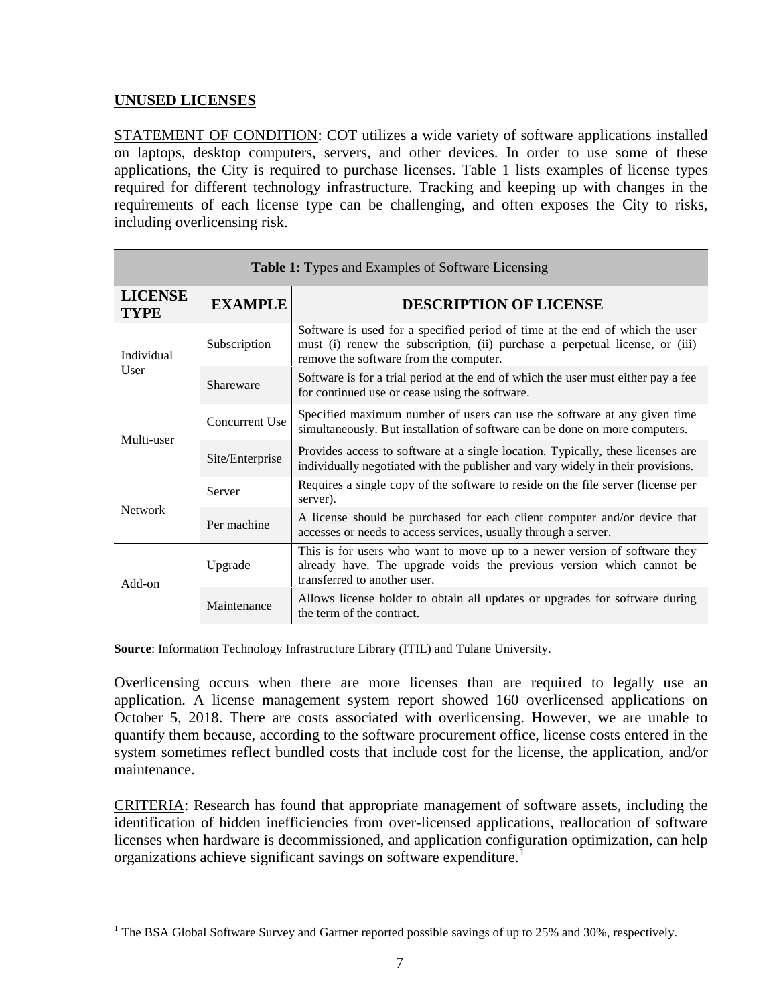# **UNUSED LICENSES**

STATEMENT OF CONDITION: COT utilizes a wide variety of software applications installed on laptops, desktop computers, servers, and other devices. In order to use some of these applications, the City is required to purchase licenses. Table 1 lists examples of license types required for different technology infrastructure. Tracking and keeping up with changes in the requirements of each license type can be challenging, and often exposes the City to risks, including overlicensing risk.

| <b>Table 1:</b> Types and Examples of Software Licensing |                 |                                                                                                                                                                                                        |
|----------------------------------------------------------|-----------------|--------------------------------------------------------------------------------------------------------------------------------------------------------------------------------------------------------|
| <b>LICENSE</b><br><b>TYPE</b>                            | <b>EXAMPLE</b>  | <b>DESCRIPTION OF LICENSE</b>                                                                                                                                                                          |
| Individual<br>User                                       | Subscription    | Software is used for a specified period of time at the end of which the user<br>must (i) renew the subscription, (ii) purchase a perpetual license, or (iii)<br>remove the software from the computer. |
|                                                          | Shareware       | Software is for a trial period at the end of which the user must either pay a fee<br>for continued use or cease using the software.                                                                    |
| Multi-user                                               | Concurrent Use  | Specified maximum number of users can use the software at any given time<br>simultaneously. But installation of software can be done on more computers.                                                |
|                                                          | Site/Enterprise | Provides access to software at a single location. Typically, these licenses are<br>individually negotiated with the publisher and vary widely in their provisions.                                     |
| <b>Network</b>                                           | Server          | Requires a single copy of the software to reside on the file server (license per<br>server).                                                                                                           |
|                                                          | Per machine     | A license should be purchased for each client computer and/or device that<br>accesses or needs to access services, usually through a server.                                                           |
| Add-on                                                   | Upgrade         | This is for users who want to move up to a newer version of software they<br>already have. The upgrade voids the previous version which cannot be<br>transferred to another user.                      |
|                                                          | Maintenance     | Allows license holder to obtain all updates or upgrades for software during<br>the term of the contract.                                                                                               |

**Source**: Information Technology Infrastructure Library (ITIL) and Tulane University.

Overlicensing occurs when there are more licenses than are required to legally use an application. A license management system report showed 160 overlicensed applications on October 5, 2018. There are costs associated with overlicensing. However, we are unable to quantify them because, according to the software procurement office, license costs entered in the system sometimes reflect bundled costs that include cost for the license, the application, and/or maintenance.

CRITERIA: Research has found that appropriate management of software assets, including the identification of hidden inefficiencies from over-licensed applications, reallocation of software licenses when hardware is decommissioned, and application configuration optimization, can help organizations achieve significant savings on software expenditure.<sup>[1](#page-9-0)</sup>

<span id="page-9-0"></span><sup>&</sup>lt;sup>1</sup> The BSA Global Software Survey and Gartner reported possible savings of up to 25% and 30%, respectively.